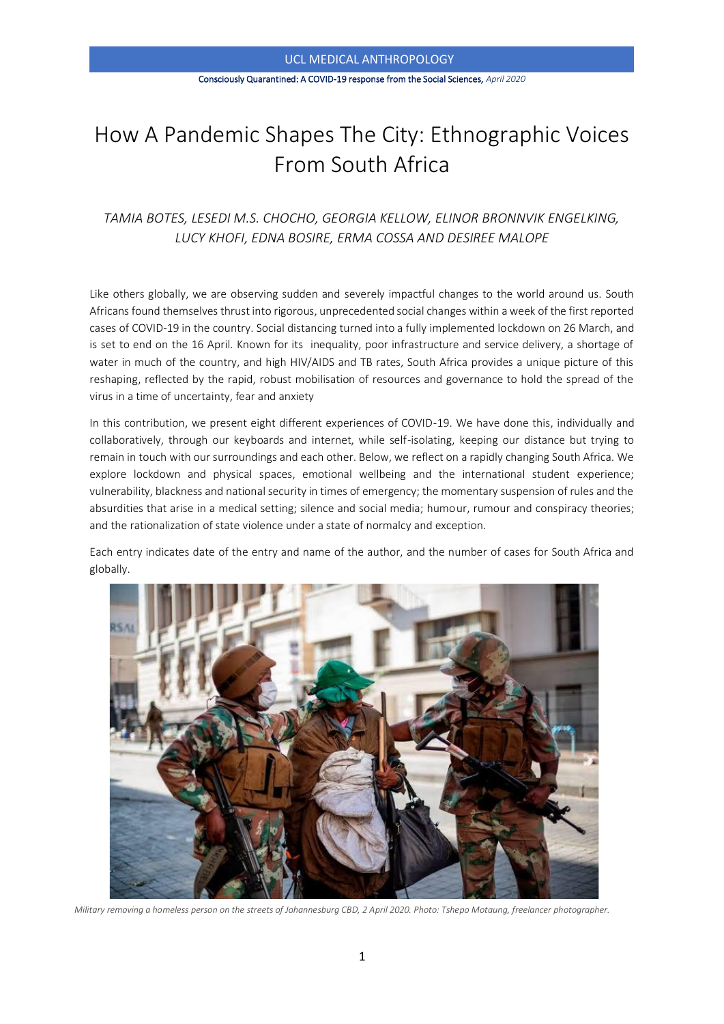#### Consciously Quarantined: A COVID-19 response from the Social Sciences, *April 2020*

# How A Pandemic Shapes The City: Ethnographic Voices From South Africa

## *TAMIA BOTES, LESEDI M.S. CHOCHO, GEORGIA KELLOW, ELINOR BRONNVIK ENGELKING, LUCY KHOFI, EDNA BOSIRE, ERMA COSSA AND DESIREE MALOPE*

Like others globally, we are observing sudden and severely impactful changes to the world around us. South Africans found themselves thrust into rigorous, unprecedented social changes within a week of the first reported cases of COVID-19 in the country. Social distancing turned into a fully implemented lockdown on 26 March, and is set to end on the 16 April. Known for its inequality, poor infrastructure and service delivery, a shortage of water in much of the country, and high HIV/AIDS and TB rates, South Africa provides a unique picture of this reshaping, reflected by the rapid, robust mobilisation of resources and governance to hold the spread of the virus in a time of uncertainty, fear and anxiety

In this contribution, we present eight different experiences of COVID-19. We have done this, individually and collaboratively, through our keyboards and internet, while self-isolating, keeping our distance but trying to remain in touch with our surroundings and each other. Below, we reflect on a rapidly changing South Africa. We explore lockdown and physical spaces, emotional wellbeing and the international student experience; vulnerability, blackness and national security in times of emergency; the momentary suspension of rules and the absurdities that arise in a medical setting; silence and social media; humour, rumour and conspiracy theories; and the rationalization of state violence under a state of normalcy and exception.

Each entry indicates date of the entry and name of the author, and the number of cases for South Africa and globally.



*Military removing a homeless person on the streets of Johannesburg CBD, 2 April 2020. Photo: Tshepo Motaung, freelancer photographer.*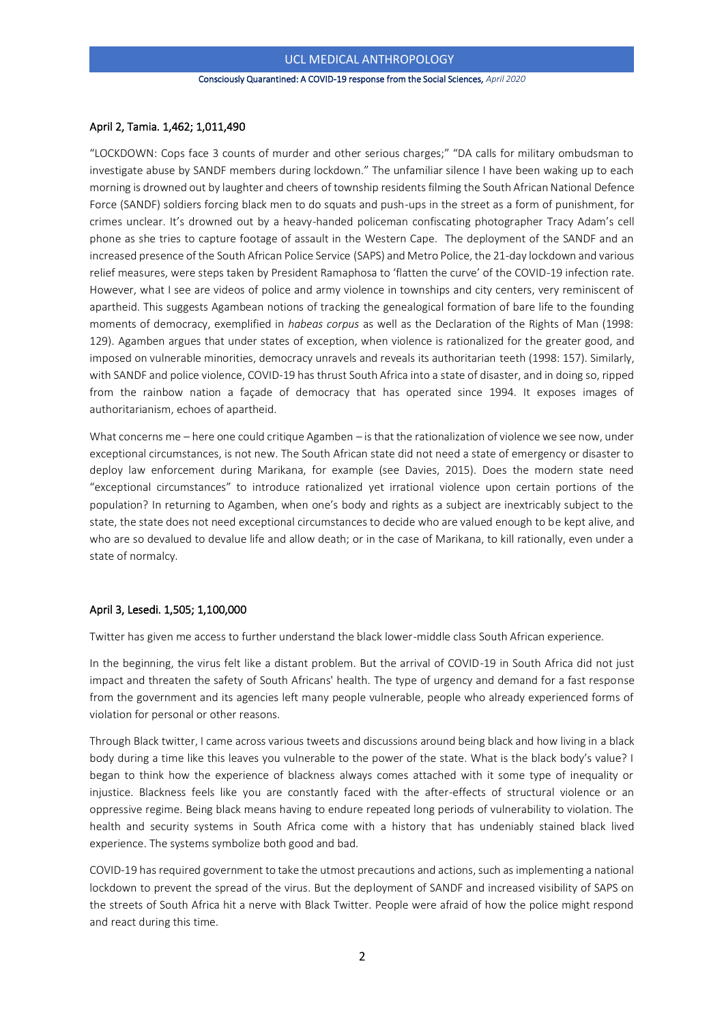Consciously Quarantined: A COVID-19 response from the Social Sciences, *April 2020*

## April 2, Tamia. 1,462; 1,011,490

"LOCKDOWN: Cops face 3 counts of murder and other serious charges;" "DA calls for military ombudsman to investigate abuse by SANDF members during lockdown." The unfamiliar silence I have been waking up to each morning is drowned out by laughter and cheers of township residents filming the South African National Defence Force (SANDF) soldiers forcing black men to do squats and push-ups in the street as a form of punishment, for crimes unclear. It's drowned out by a heavy-handed policeman confiscating photographer Tracy Adam's cell phone as she tries to capture footage of assault in the Western Cape. The deployment of the SANDF and an increased presence of the South African Police Service (SAPS) and Metro Police, the 21-day lockdown and various relief measures, were steps taken by President Ramaphosa to 'flatten the curve' of the COVID-19 infection rate. However, what I see are videos of police and army violence in townships and city centers, very reminiscent of apartheid. This suggests Agambean notions of tracking the genealogical formation of bare life to the founding moments of democracy, exemplified in *habeas corpus* as well as the Declaration of the Rights of Man (1998: 129). Agamben argues that under states of exception, when violence is rationalized for the greater good, and imposed on vulnerable minorities, democracy unravels and reveals its authoritarian teeth (1998: 157). Similarly, with SANDF and police violence, COVID-19 has thrust South Africa into a state of disaster, and in doing so, ripped from the rainbow nation a façade of democracy that has operated since 1994. It exposes images of authoritarianism, echoes of apartheid.

What concerns me – here one could critique Agamben – is that the rationalization of violence we see now, under exceptional circumstances, is not new. The South African state did not need a state of emergency or disaster to deploy law enforcement during Marikana, for example (see Davies, 2015). Does the modern state need "exceptional circumstances" to introduce rationalized yet irrational violence upon certain portions of the population? In returning to Agamben, when one's body and rights as a subject are inextricably subject to the state, the state does not need exceptional circumstances to decide who are valued enough to be kept alive, and who are so devalued to devalue life and allow death; or in the case of Marikana, to kill rationally, even under a state of normalcy.

### April 3, Lesedi. 1,505; 1,100,000

Twitter has given me access to further understand the black lower-middle class South African experience.

In the beginning, the virus felt like a distant problem. But the arrival of COVID-19 in South Africa did not just impact and threaten the safety of South Africans' health. The type of urgency and demand for a fast response from the government and its agencies left many people vulnerable, people who already experienced forms of violation for personal or other reasons.

Through Black twitter, I came across various tweets and discussions around being black and how living in a black body during a time like this leaves you vulnerable to the power of the state. What is the black body's value? I began to think how the experience of blackness always comes attached with it some type of inequality or injustice. Blackness feels like you are constantly faced with the after-effects of structural violence or an oppressive regime. Being black means having to endure repeated long periods of vulnerability to violation. The health and security systems in South Africa come with a history that has undeniably stained black lived experience. The systems symbolize both good and bad.

COVID-19 has required government to take the utmost precautions and actions, such as implementing a national lockdown to prevent the spread of the virus. But the deployment of SANDF and increased visibility of SAPS on the streets of South Africa hit a nerve with Black Twitter. People were afraid of how the police might respond and react during this time.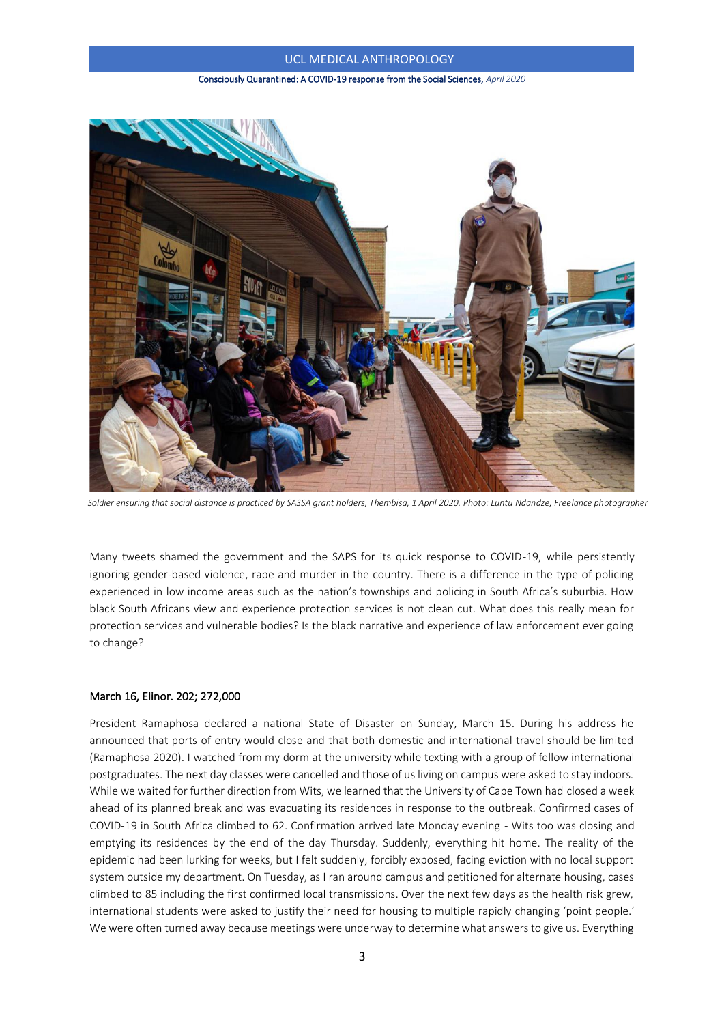#### Consciously Quarantined: A COVID-19 response from the Social Sciences, *April 2020*



*Soldier ensuring that social distance is practiced by SASSA grant holders, Thembisa, 1 April 2020. Photo: Luntu Ndandze, Freelance photographer*

Many tweets shamed the government and the SAPS for its quick response to COVID-19, while persistently ignoring gender-based violence, rape and murder in the country. There is a difference in the type of policing experienced in low income areas such as the nation's townships and policing in South Africa's suburbia. How black South Africans view and experience protection services is not clean cut. What does this really mean for protection services and vulnerable bodies? Is the black narrative and experience of law enforcement ever going to change?

## March 16, Elinor. 202; 272,000

President Ramaphosa declared a national State of Disaster on Sunday, March 15. During his address he announced that ports of entry would close and that both domestic and international travel should be limited (Ramaphosa 2020). I watched from my dorm at the university while texting with a group of fellow international postgraduates. The next day classes were cancelled and those of us living on campus were asked to stay indoors. While we waited for further direction from Wits, we learned that the University of Cape Town had closed a week ahead of its planned break and was evacuating its residences in response to the outbreak. Confirmed cases of COVID-19 in South Africa climbed to 62. Confirmation arrived late Monday evening - Wits too was closing and emptying its residences by the end of the day Thursday. Suddenly, everything hit home. The reality of the epidemic had been lurking for weeks, but I felt suddenly, forcibly exposed, facing eviction with no local support system outside my department. On Tuesday, as I ran around campus and petitioned for alternate housing, cases climbed to 85 including the first confirmed local transmissions. Over the next few days as the health risk grew, international students were asked to justify their need for housing to multiple rapidly changing 'point people.' We were often turned away because meetings were underway to determine what answers to give us. Everything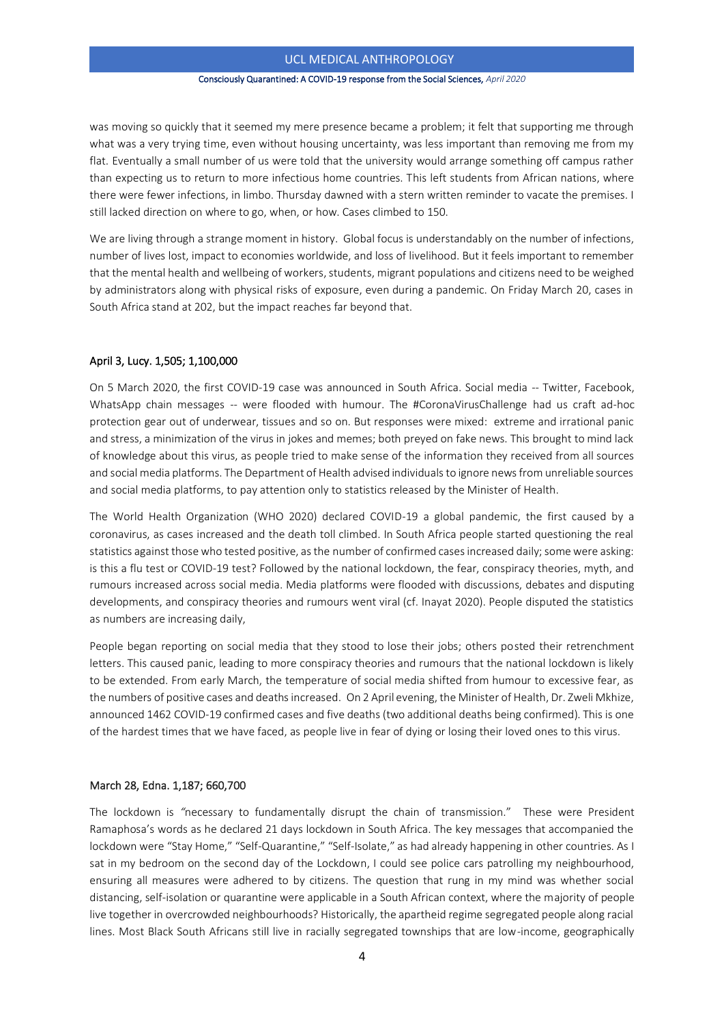#### Consciously Quarantined: A COVID-19 response from the Social Sciences, *April 2020*

was moving so quickly that it seemed my mere presence became a problem; it felt that supporting me through what was a very trying time, even without housing uncertainty, was less important than removing me from my flat. Eventually a small number of us were told that the university would arrange something off campus rather than expecting us to return to more infectious home countries. This left students from African nations, where there were fewer infections, in limbo. Thursday dawned with a stern written reminder to vacate the premises. I still lacked direction on where to go, when, or how. Cases climbed to 150.

We are living through a strange moment in history. Global focus is understandably on the number of infections, number of lives lost, impact to economies worldwide, and loss of livelihood. But it feels important to remember that the mental health and wellbeing of workers, students, migrant populations and citizens need to be weighed by administrators along with physical risks of exposure, even during a pandemic. On Friday March 20, cases in South Africa stand at 202, but the impact reaches far beyond that.

### April 3, Lucy. 1,505; 1,100,000

On 5 March 2020, the first COVID-19 case was announced in South Africa. Social media -- Twitter, Facebook, WhatsApp chain messages -- were flooded with humour. The #CoronaVirusChallenge had us craft ad-hoc protection gear out of underwear, tissues and so on. But responses were mixed: extreme and irrational panic and stress, a minimization of the virus in jokes and memes; both preyed on fake news. This brought to mind lack of knowledge about this virus, as people tried to make sense of the information they received from all sources and social media platforms. The Department of Health advised individuals to ignore news from unreliable sources and social media platforms, to pay attention only to statistics released by the Minister of Health.

The World Health Organization (WHO 2020) declared COVID-19 a global pandemic, the first caused by a coronavirus, as cases increased and the death toll climbed. In South Africa people started questioning the real statistics against those who tested positive, as the number of confirmed cases increased daily; some were asking: is this a flu test or COVID-19 test? Followed by the national lockdown, the fear, conspiracy theories, myth, and rumours increased across social media. Media platforms were flooded with discussions, debates and disputing developments, and conspiracy theories and rumours went viral (cf. Inayat 2020). People disputed the statistics as numbers are increasing daily,

People began reporting on social media that they stood to lose their jobs; others posted their retrenchment letters. This caused panic, leading to more conspiracy theories and rumours that the national lockdown is likely to be extended. From early March, the temperature of social media shifted from humour to excessive fear, as the numbers of positive cases and deaths increased. On 2 April evening, the Minister of Health, Dr. Zweli Mkhize, announced 1462 COVID-19 confirmed cases and five deaths (two additional deaths being confirmed). This is one of the hardest times that we have faced, as people live in fear of dying or losing their loved ones to this virus.

#### March 28, Edna. 1,187; 660,700

The lockdown is *"*necessary to fundamentally disrupt the chain of transmission."These were President Ramaphosa's words as he declared 21 days lockdown in South Africa. The key messages that accompanied the lockdown were "Stay Home," "Self-Quarantine," "Self-Isolate," as had already happening in other countries. As I sat in my bedroom on the second day of the Lockdown, I could see police cars patrolling my neighbourhood, ensuring all measures were adhered to by citizens. The question that rung in my mind was whether social distancing, self-isolation or quarantine were applicable in a South African context, where the majority of people live together in overcrowded neighbourhoods? Historically, the apartheid regime segregated people along racial lines. Most Black South Africans still live in racially segregated townships that are low-income, geographically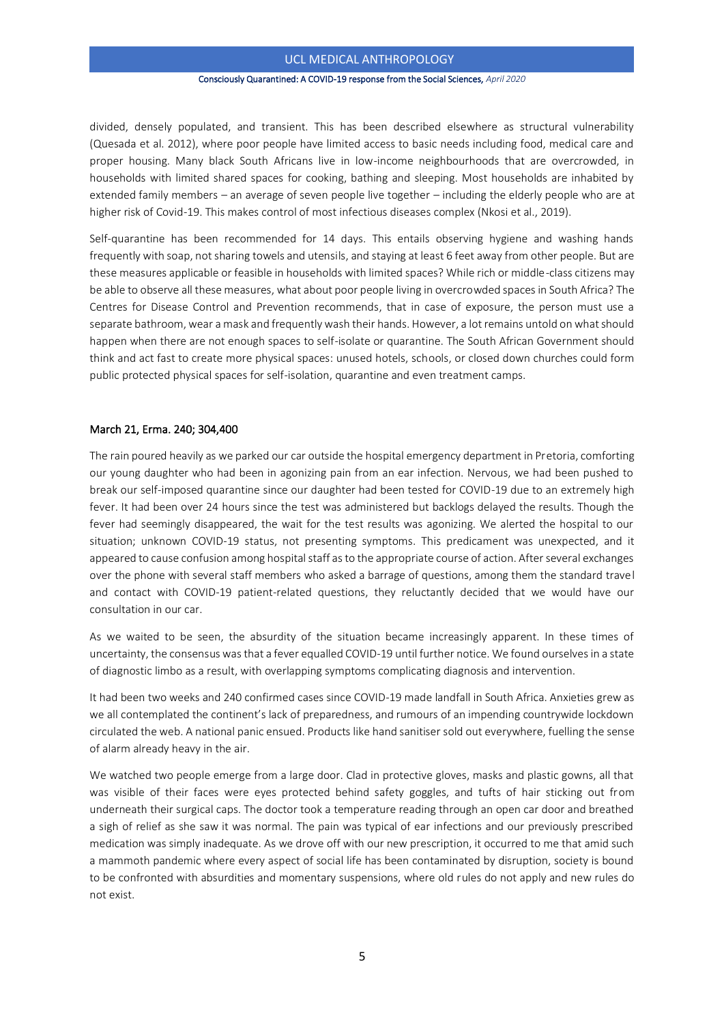#### Consciously Quarantined: A COVID-19 response from the Social Sciences, *April 2020*

divided, densely populated, and transient. This has been described elsewhere as structural vulnerability (Quesada et al. 2012), where poor people have limited access to basic needs including food, medical care and proper housing. Many black South Africans live in low-income neighbourhoods that are overcrowded, in households with limited shared spaces for cooking, bathing and sleeping. Most households are inhabited by extended family members – an average of seven people live together – including the elderly people who are at higher risk of Covid-19. This makes control of most infectious diseases complex (Nkosi et al., 2019).

Self-quarantine has been recommended for 14 days. This entails observing hygiene and washing hands frequently with soap, not sharing towels and utensils, and staying at least 6 feet away from other people. But are these measures applicable or feasible in households with limited spaces? While rich or middle-class citizens may be able to observe all these measures, what about poor people living in overcrowded spaces in South Africa? Th[e](https://www.cdc.gov/coronavirus/2019-ncov/hcp/guidance-prevent-spread.html) [Centres for Disease Control and Prevention recommends,](https://www.cdc.gov/coronavirus/2019-ncov/hcp/guidance-prevent-spread.html) that in case of exposure, the person must use a separate bathroom, wear a mask and frequently wash their hands. However, a lot remains untold on what should happen when there are not enough spaces to self-isolate or quarantine. The South African Government should think and act fast to create more physical spaces: unused hotels, schools, or closed down churches could form public protected physical spaces for self-isolation, quarantine and even treatment camps.

#### March 21, Erma. 240; 304,400

The rain poured heavily as we parked our car outside the hospital emergency department in Pretoria, comforting our young daughter who had been in agonizing pain from an ear infection. Nervous, we had been pushed to break our self-imposed quarantine since our daughter had been tested for COVID-19 due to an extremely high fever. It had been over 24 hours since the test was administered but backlogs delayed the results. Though the fever had seemingly disappeared, the wait for the test results was agonizing. We alerted the hospital to our situation; unknown COVID-19 status, not presenting symptoms. This predicament was unexpected, and it appeared to cause confusion among hospital staff as to the appropriate course of action. After several exchanges over the phone with several staff members who asked a barrage of questions, among them the standard travel and contact with COVID-19 patient-related questions, they reluctantly decided that we would have our consultation in our car.

As we waited to be seen, the absurdity of the situation became increasingly apparent. In these times of uncertainty, the consensus was that a fever equalled COVID-19 until further notice. We found ourselves in a state of diagnostic limbo as a result, with overlapping symptoms complicating diagnosis and intervention.

It had been two weeks and 240 confirmed cases since COVID-19 made landfall in South Africa. Anxieties grew as we all contemplated the continent's lack of preparedness, and rumours of an impending countrywide lockdown circulated the web. A national panic ensued. Products like hand sanitiser sold out everywhere, fuelling the sense of alarm already heavy in the air.

We watched two people emerge from a large door. Clad in protective gloves, masks and plastic gowns, all that was visible of their faces were eyes protected behind safety goggles, and tufts of hair sticking out from underneath their surgical caps. The doctor took a temperature reading through an open car door and breathed a sigh of relief as she saw it was normal. The pain was typical of ear infections and our previously prescribed medication was simply inadequate. As we drove off with our new prescription, it occurred to me that amid such a mammoth pandemic where every aspect of social life has been contaminated by disruption, society is bound to be confronted with absurdities and momentary suspensions, where old rules do not apply and new rules do not exist.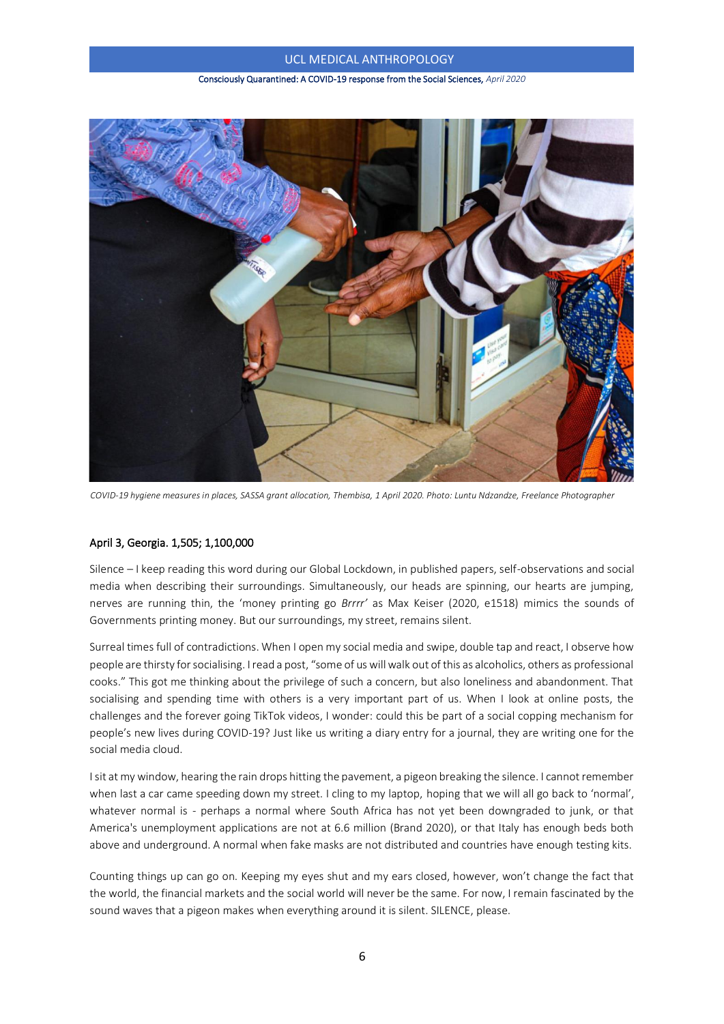### Consciously Quarantined: A COVID-19 response from the Social Sciences, *April 2020*



*COVID-19 hygiene measures in places, SASSA grant allocation, Thembisa, 1 April 2020. Photo: Luntu Ndzandze, Freelance Photographer*

#### April 3, Georgia. 1,505; 1,100,000

Silence – I keep reading this word during our Global Lockdown, in published papers, self-observations and social media when describing their surroundings. Simultaneously, our heads are spinning, our hearts are jumping, nerves are running thin, the 'money printing go *Brrrr'* as Max Keiser (2020, e1518) mimics the sounds of Governments printing money. But our surroundings, my street, remains silent.

Surreal times full of contradictions. When I open my social media and swipe, double tap and react, I observe how people are thirsty for socialising. I read a post, "some of us will walk out of this as alcoholics, others as professional cooks." This got me thinking about the privilege of such a concern, but also loneliness and abandonment. That socialising and spending time with others is a very important part of us. When I look at online posts, the challenges and the forever going TikTok videos, I wonder: could this be part of a social copping mechanism for people's new lives during COVID-19? Just like us writing a diary entry for a journal, they are writing one for the social media cloud.

I sit at my window, hearing the rain drops hitting the pavement, a pigeon breaking the silence. I cannot remember when last a car came speeding down my street. I cling to my laptop, hoping that we will all go back to 'normal', whatever normal is - perhaps a normal where South Africa has not yet been downgraded to junk, or that America's unemployment applications are not at 6.6 million (Brand 2020), or that Italy has enough beds both above and underground. A normal when fake masks are not distributed and countries have enough testing kits.

Counting things up can go on. Keeping my eyes shut and my ears closed, however, won't change the fact that the world, the financial markets and the social world will never be the same. For now, I remain fascinated by the sound waves that a pigeon makes when everything around it is silent. SILENCE, please.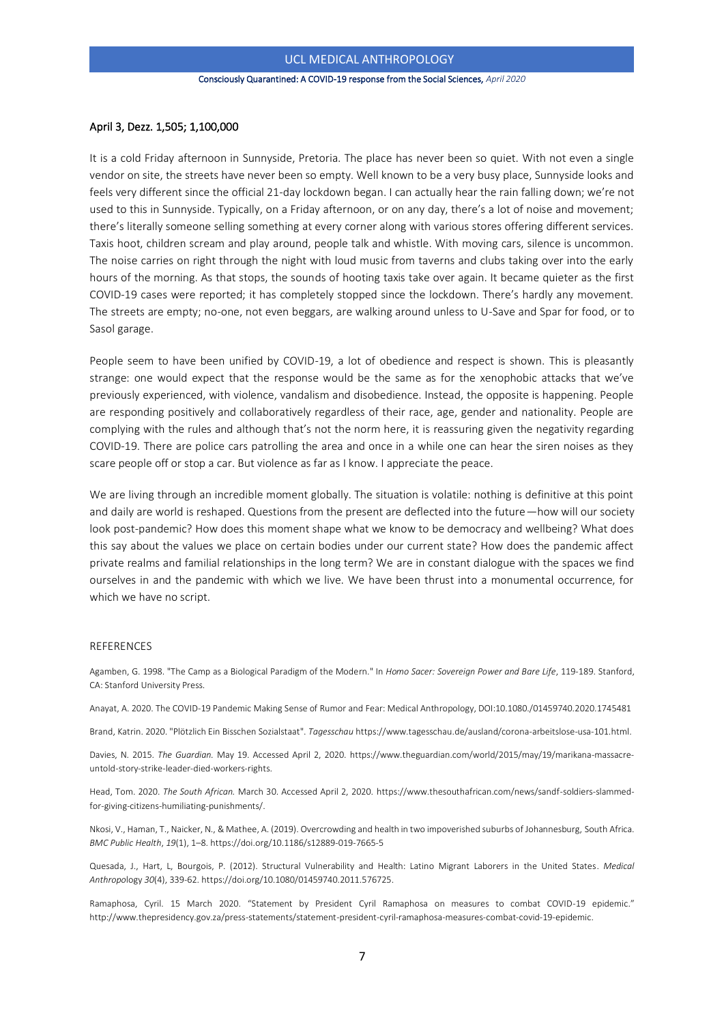#### Consciously Quarantined: A COVID-19 response from the Social Sciences, *April 2020*

## April 3, Dezz. 1,505; 1,100,000

It is a cold Friday afternoon in Sunnyside, Pretoria. The place has never been so quiet. With not even a single vendor on site, the streets have never been so empty. Well known to be a very busy place, Sunnyside looks and feels very different since the official 21-day lockdown began. I can actually hear the rain falling down; we're not used to this in Sunnyside. Typically, on a Friday afternoon, or on any day, there's a lot of noise and movement; there's literally someone selling something at every corner along with various stores offering different services. Taxis hoot, children scream and play around, people talk and whistle. With moving cars, silence is uncommon. The noise carries on right through the night with loud music from taverns and clubs taking over into the early hours of the morning. As that stops, the sounds of hooting taxis take over again. It became quieter as the first COVID-19 cases were reported; it has completely stopped since the lockdown. There's hardly any movement. The streets are empty; no-one, not even beggars, are walking around unless to U-Save and Spar for food, or to Sasol garage.

People seem to have been unified by COVID-19, a lot of obedience and respect is shown. This is pleasantly strange: one would expect that the response would be the same as for the xenophobic attacks that we've previously experienced, with violence, vandalism and disobedience. Instead, the opposite is happening. People are responding positively and collaboratively regardless of their race, age, gender and nationality. People are complying with the rules and although that's not the norm here, it is reassuring given the negativity regarding COVID-19. There are police cars patrolling the area and once in a while one can hear the siren noises as they scare people off or stop a car. But violence as far as I know. I appreciate the peace.

We are living through an incredible moment globally. The situation is volatile: nothing is definitive at this point and daily are world is reshaped. Questions from the present are deflected into the future—how will our society look post-pandemic? How does this moment shape what we know to be democracy and wellbeing? What does this say about the values we place on certain bodies under our current state? How does the pandemic affect private realms and familial relationships in the long term? We are in constant dialogue with the spaces we find ourselves in and the pandemic with which we live. We have been thrust into a monumental occurrence, for which we have no script.

## REFERENCES

Agamben, G. 1998. "The Camp as a Biological Paradigm of the Modern." In *Homo Sacer: Sovereign Power and Bare Life*, 119-189. Stanford, CA: Stanford University Press.

Anayat, A. 2020. The COVID-19 Pandemic Making Sense of Rumor and Fear: Medical Anthropology, DOI:10.1080./01459740.2020.1745481

Brand, Katrin. 2020. "Plötzlich Ein Bisschen Sozialstaat". *Tagesschau* [https://www.tagesschau.de/ausland/corona-arbeitslose-usa-101.html.](https://www.tagesschau.de/ausland/corona-arbeitslose-usa-101.html)

Davies, N. 2015. *The Guardian.* May 19. Accessed April 2, 2020. [https://www.theguardian.com/world/2015/may/19/marikana-massacre](https://www.theguardian.com/world/2015/may/19/marikana-massacre-untold-story-strike-leader-died-workers-rights)[untold-story-strike-leader-died-workers-rights.](https://www.theguardian.com/world/2015/may/19/marikana-massacre-untold-story-strike-leader-died-workers-rights)

Head, Tom. 2020. *The South African.* March 30. Accessed April 2, 2020. [https://www.thesouthafrican.com/news/sandf-soldiers-slammed](https://www.thesouthafrican.com/news/sandf-soldiers-slammed-for-giving-citizens-humiliating-punishments/)[for-giving-citizens-humiliating-punishments/.](https://www.thesouthafrican.com/news/sandf-soldiers-slammed-for-giving-citizens-humiliating-punishments/)

Nkosi, V., Haman, T., Naicker, N., & Mathee, A. (2019). Overcrowding and health in two impoverished suburbs of Johannesburg, South Africa. *BMC Public Health*, *19*(1), 1–8[. https://doi.org/10.1186/s12889-019-7665-5](https://doi.org/10.1186/s12889-019-7665-5)

Quesada, J., Hart, L, Bourgois, P. (2012). Structural Vulnerability and Health: Latino Migrant Laborers in the United States. *Medical Anthropo*logy *30*(4), 339-62[. https://doi.org/10.1080/01459740.2011.576725.](https://doi.org/10.1080/01459740.2011.576725)

Ramaphosa, Cyril. 15 March 2020. "Statement by President Cyril Ramaphosa on measures to combat COVID-19 epidemic." [http://www.thepresidency.gov.za/press-statements/statement-president-cyril-ramaphosa-measures-combat-covid-19-epidemic.](http://www.thepresidency.gov.za/press-statements/statement-president-cyril-ramaphosa-measures-combat-covid-19-epidemic)